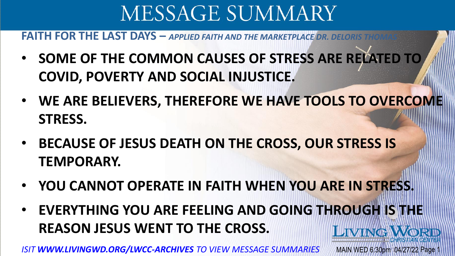**FAITH FOR THE LAST DAYS — APPLIED FAITH AND THE MARKETPLACE DR.** 

- **SOME OF THE COMMON CAUSES OF STRESS ARE RELATED TO COVID, POVERTY AND SOCIAL INJUSTICE.**
- **WE ARE BELIEVERS, THEREFORE WE HAVE TOOLS TO OVERCOME STRESS.**
- **BECAUSE OF JESUS DEATH ON THE CROSS, OUR STRESS IS TEMPORARY.**
- **YOU CANNOT OPERATE IN FAITH WHEN YOU ARE IN STRESS.**
- **EVERYTHING YOU ARE FEELING AND GOING THROUGH IS THE REASON JESUS WENT TO THE CROSS. LIVING WORD**

*ISIT WWW.LIVINGWD.ORG/LWCC-ARCHIVES TO VIEW MESSAGE SUMMARIES* MAIN WED 6:30pm 04/27/22 Page 1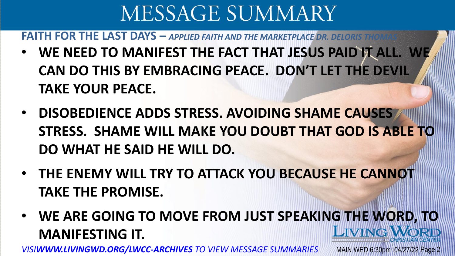**FAITH FOR THE LAST DAYS — APPLIED FAITH AND THE MARKETPLACE DR.** 

- **WE NEED TO MANIFEST THE FACT THAT JESUS PAID IT ALL. WE CAN DO THIS BY EMBRACING PEACE. DON'T LET THE DEVIL TAKE YOUR PEACE.**
- **DISOBEDIENCE ADDS STRESS. AVOIDING SHAME CAUSES STRESS. SHAME WILL MAKE YOU DOUBT THAT GOD IS ABLE TO DO WHAT HE SAID HE WILL DO.**
- **THE ENEMY WILL TRY TO ATTACK YOU BECAUSE HE CANNOT TAKE THE PROMISE.**
- **WE ARE GOING TO MOVE FROM JUST SPEAKING THE WORD, TO JIVINGS MANIFESTING IT.**

*VISIWWW.LIVINGWD.ORG/LWCC-ARCHIVES TO VIEW MESSAGE SUMMARIES* MAIN WED 6:30pm 04/27/22 Page 2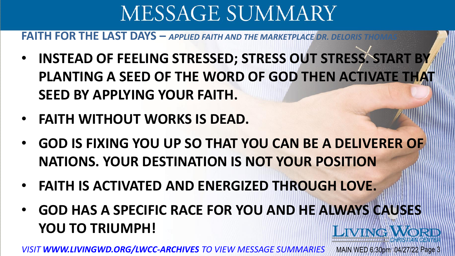**FAITH FOR THE LAST DAYS — APPLIED FAITH AND THE MARKETPLACE DR.** 

- **INSTEAD OF FEELING STRESSED; STRESS OUT STRESS. START BY PLANTING A SEED OF THE WORD OF GOD THEN ACTIVATE THAT SEED BY APPLYING YOUR FAITH.**
- **FAITH WITHOUT WORKS IS DEAD.**
- **GOD IS FIXING YOU UP SO THAT YOU CAN BE A DELIVERER OF NATIONS. YOUR DESTINATION IS NOT YOUR POSITION**
- **FAITH IS ACTIVATED AND ENERGIZED THROUGH LOVE.**
- **GOD HAS A SPECIFIC RACE FOR YOU AND HE ALWAYS CAUSES YOU TO TRIUMPH! LIVING WORD**

*VISIT WWW.LIVINGWD.ORG/LWCC-ARCHIVES TO VIEW MESSAGE SUMMARIES* MAIN WED 6:30pm 04/27/22 Page 3